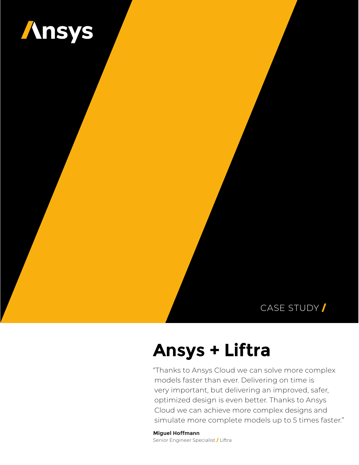

### CASE STUDY /

# **Ansys + Liftra**

"Thanks to Ansys Cloud we can solve more complex models faster than ever. Delivering on time is very important, but delivering an improved, safer, optimized design is even better. Thanks to Ansys Cloud we can achieve more complex designs and simulate more complete models up to 5 times faster."

**Miguel Hoffmann**  Senior Engineer Specialist / Liftra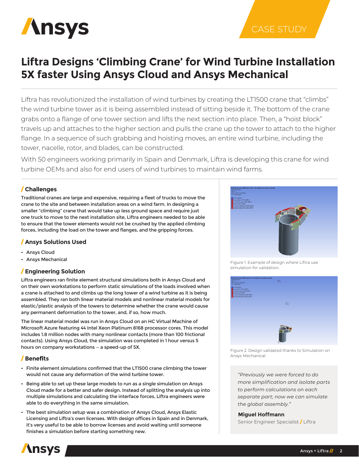

## **Liftra Designs 'Climbing Crane' for Wind Turbine Installation 5X faster Using Ansys Cloud and Ansys Mechanical**

Liftra has revolutionized the installation of wind turbines by creating the LT1500 crane that "climbs" the wind turbine tower as it is being assembled instead of sitting beside it. The bottom of the crane grabs onto a flange of one tower section and lifts the next section into place. Then, a "hoist block" travels up and attaches to the higher section and pulls the crane up the tower to attach to the higher flange. In a sequence of such grabbing and hoisting moves, an entire wind turbine, including the tower, nacelle, rotor, and blades, can be constructed.

With 50 engineers working primarily in Spain and Denmark, Liftra is developing this crane for wind turbine OEMs and also for end users of wind turbines to maintain wind farms.

#### / **Challenges**

Traditional cranes are large and expensive, requiring a fleet of trucks to move the crane to the site and between installation areas on a wind farm. In designing a smaller "climbing" crane that would take up less ground space and require just one truck to move to the next installation site, Liftra engineers needed to be able to ensure that the tower elements would not be crushed by the applied climbing forces, including the load on the tower and flanges, and the gripping forces.

#### / **Ansys Solutions Used**

- Ansys Cloud
- Ansys Mechanical

#### / **Engineering Solution**

Liftra engineers ran finite element structural simulations both in Ansys Cloud and on their own workstations to perform static simulations of the loads involved when a crane is attached to and climbs up the long tower of a wind turbine as it is being assembled. They ran both linear material models and nonlinear material models for elastic/plastic analysis of the towers to determine whether the crane would cause any permanent deformation to the tower, and, if so, how much.

The linear material model was run in Ansys Cloud on an HC Virtual Machine of Microsoft Azure featuring 44 Intel Xeon Platinum 8168 processor cores. This model includes 1.8 million nodes with many nonlinear contacts (more than 100 frictional contacts). Using Ansys Cloud, the simulation was completed in 1 hour versus 5 hours on company workstations — a speed-up of 5X.

#### / **Benefits**

- Finite element simulations confirmed that the LT1500 crane climbing the tower would not cause any deformation of the wind turbine tower.
- Being able to set up these large models to run as a single simulation on Ansys Cloud made for a better and safer design. Instead of splitting the analysis up into multiple simulations and calculating the interface forces, Liftra engineers were able to do everything in the same simulation.
- The best simulation setup was a combination of Ansys Cloud, Ansys Elastic Licensing and Liftra's own licenses. With design offices in Spain and in Denmark, it's very useful to be able to borrow licenses and avoid waiting until someone finishes a simulation before starting something new.



CASE STUDY

Figure 1. Example of design where Liftra use simulation for validation.



Figure 2. Design validated thanks to Simulation on Ansys Mechanical.

*"Previously we were forced to do more simplification and isolate parts to perform calculations on each separate part; now we can simulate the global assembly."*

#### **Miguel Hoffmann**

Senior Engineer Specialist / Liftra